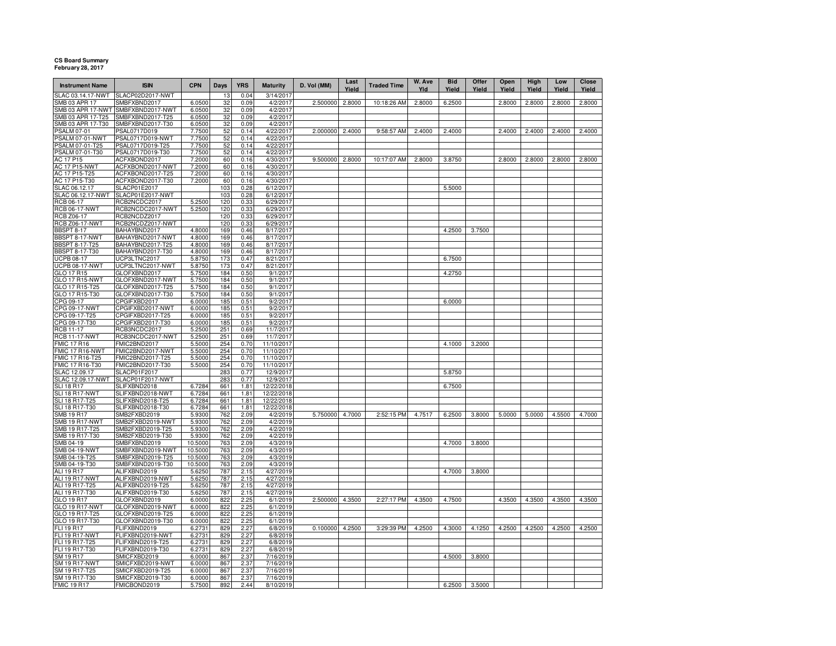## **CS Board Summary February 28, 2017**

| <b>Instrument Name</b>                  | <b>ISIN</b>                          | <b>CPN</b>        | Days       | <b>YRS</b>   | <b>Maturity</b>          | D. Vol (MM)     | Last<br>Yield | <b>Traded Time</b> | W. Ave<br>Yld | <b>Bid</b><br>Yield | Offer<br>Yield | Open<br>Yield | High<br>Yield | Low<br>Yield | Close<br>Yield |
|-----------------------------------------|--------------------------------------|-------------------|------------|--------------|--------------------------|-----------------|---------------|--------------------|---------------|---------------------|----------------|---------------|---------------|--------------|----------------|
| SLAC 03.14.17-NWT                       | SLACP02D2017-NWT                     |                   | 13         | 0.04         | 3/14/2017                |                 |               |                    |               |                     |                |               |               |              |                |
| SMB 03 APR 17<br>SMB 03 APR 17-NWT      | SMBFXBND2017<br>SMBFXBND2017-NWT     | 6.0500<br>6.0500  | 32<br>32   | 0.09         | 4/2/2017<br>4/2/2017     | 2.500000        | 2.8000        | 10:18:26 AM        | 2.8000        | 6.2500              |                | 2.8000        | 2.8000        | 2.8000       | 2.8000         |
| SMB 03 APR 17-T25                       | SMBFXBND2017-T25                     | 6.0500            | 32         | 0.09<br>0.09 | 4/2/2017                 |                 |               |                    |               |                     |                |               |               |              |                |
| SMB 03 APR 17-T30                       | SMBFXBND2017-T30                     | 6.0500            | 32         | 0.09         | 4/2/2017                 |                 |               |                    |               |                     |                |               |               |              |                |
| <b>PSALM 07-01</b>                      | PSAL0717D019                         | 7.7500            | 52         | 0.14         | 4/22/2017                | 2.000000        | 2.4000        | 9:58:57 AM         | 2.4000        | 2.4000              |                | 2.4000        | 2.4000        | 2.4000       | 2.4000         |
| PSALM 07-01-NWT                         | PSAL0717D019-NWT                     | 7.7500            | 52         | 0.14         | 4/22/2017                |                 |               |                    |               |                     |                |               |               |              |                |
| PSALM 07-01-T25                         | PSAL0717D019-T25                     | 7.7500            | 52         | 0.14         | 4/22/2017                |                 |               |                    |               |                     |                |               |               |              |                |
| PSALM 07-01-T30                         | PSAL0717D019-T30                     | 7.7500            | 52         | 0.14         | 4/22/2017                |                 |               |                    |               |                     |                |               |               |              |                |
| AC 17 P15                               | ACFXBOND2017                         | 7.2000            | 60         | 0.16         | 4/30/2017                | 9.500000 2.8000 |               | 10:17:07 AM        | 2.8000        | 3.8750              |                | 2.8000        | 2.8000        | 2.8000       | 2.8000         |
| <b>AC 17 P15-NWT</b>                    | ACFXBOND2017-NWT                     | 7.2000            | 60         | 0.16         | 4/30/2017                |                 |               |                    |               |                     |                |               |               |              |                |
| AC 17 P15-T25<br>AC 17 P15-T30          | ACFXBOND2017-T25<br>ACFXBOND2017-T30 | 7.2000<br>7.2000  | 60<br>60   | 0.16<br>0.16 | 4/30/2017<br>4/30/2017   |                 |               |                    |               |                     |                |               |               |              |                |
| SLAC 06.12.17                           | SLACP01E2017                         |                   | 103        | 0.28         | 6/12/2017                |                 |               |                    |               | 5.5000              |                |               |               |              |                |
| SLAC 06.12.17-NWT                       | SLACP01E2017-NWT                     |                   | 103        | 0.28         | 6/12/2017                |                 |               |                    |               |                     |                |               |               |              |                |
| RCB 06-17                               | RCB2NCDC2017                         | 5.2500            | 120        | 0.33         | 6/29/2017                |                 |               |                    |               |                     |                |               |               |              |                |
| <b>RCB 06-17-NWT</b>                    | RCB2NCDC2017-NWT                     | 5.2500            | 120        | 0.33         | 6/29/2017                |                 |               |                    |               |                     |                |               |               |              |                |
| <b>RCB Z06-17</b>                       | RCB2NCDZ2017                         |                   | 120        | 0.33         | 6/29/2017                |                 |               |                    |               |                     |                |               |               |              |                |
| <b>RCB Z06-17-NWT</b>                   | RCB2NCDZ2017-NWT                     |                   | 120        | 0.33         | 6/29/2017                |                 |               |                    |               |                     |                |               |               |              |                |
| <b>BBSPT 8-17</b>                       | BAHAYBND2017                         | 4.8000<br>4.8000  | 169<br>169 | 0.46         | 8/17/2017<br>8/17/2017   |                 |               |                    |               | 4.2500              | 3.7500         |               |               |              |                |
| BBSPT 8-17-NWT<br><b>BBSPT 8-17-T25</b> | BAHAYBND2017-NWT<br>BAHAYBND2017-T25 | 4.8000            | 169        | 0.46<br>0.46 | 8/17/2017                |                 |               |                    |               |                     |                |               |               |              |                |
| BBSPT 8-17-T30                          | BAHAYBND2017-T30                     | 4.8000            | 169        | 0.46         | 8/17/2017                |                 |               |                    |               |                     |                |               |               |              |                |
| <b>UCPB 08-17</b>                       | UCP3LTNC2017                         | 5.8750            | 173        | 0.47         | 8/21/2017                |                 |               |                    |               | 6.7500              |                |               |               |              |                |
| <b>UCPB 08-17-NWT</b>                   | UCP3LTNC2017-NWT                     | 5.8750            | 173        | 0.47         | 8/21/2017                |                 |               |                    |               |                     |                |               |               |              |                |
| GLO 17 R15                              | GLOFXBND2017                         | 5.7500            | 184        | 0.50         | 9/1/2017                 |                 |               |                    |               | 4.2750              |                |               |               |              |                |
| <b>GLO 17 R15-NWT</b>                   | GLOFXBND2017-NWT                     | 5.7500            | 184        | 0.50         | 9/1/2017                 |                 |               |                    |               |                     |                |               |               |              |                |
| GLO 17 R15-T25                          | GLOFXBND2017-T25                     | 5.7500            | 184        | 0.50         | 9/1/2017                 |                 |               |                    |               |                     |                |               |               |              |                |
| GLO 17 R15-T30<br>CPG 09-17             | GLOFXBND2017-T30<br>CPGIFXBD2017     | 5.7500<br>6.0000  | 184<br>185 | 0.50<br>0.51 | 9/1/2017<br>9/2/2017     |                 |               |                    |               | 6.0000              |                |               |               |              |                |
| CPG 09-17-NWT                           | CPGIFXBD2017-NWT                     | 6.0000            | 185        | 0.51         | 9/2/2017                 |                 |               |                    |               |                     |                |               |               |              |                |
| CPG 09-17-T25                           | CPGIFXBD2017-T25                     | 6.0000            | 185        | 0.51         | 9/2/2017                 |                 |               |                    |               |                     |                |               |               |              |                |
| CPG 09-17-T30                           | CPGIFXBD2017-T30                     | 6.0000            | 185        | 0.51         | 9/2/2017                 |                 |               |                    |               |                     |                |               |               |              |                |
| RCB 11-17                               | RCB3NCDC2017                         | 5.2500            | 251        | 0.69         | 11/7/2017                |                 |               |                    |               |                     |                |               |               |              |                |
| <b>RCB 11-17-NWT</b>                    | RCB3NCDC2017-NWT                     | 5.2500            | 251        | 0.69         | 11/7/2017                |                 |               |                    |               |                     |                |               |               |              |                |
| <b>FMIC 17 R16</b>                      | FMIC2BND2017                         | 5.5000            | 254<br>254 | 0.70<br>0.70 | 11/10/2017<br>11/10/2017 |                 |               |                    |               | 4.1000              | 3.2000         |               |               |              |                |
| MIC 17 R16-NWT<br>FMIC 17 R16-T25       | FMIC2BND2017-NWT<br>FMIC2BND2017-T25 | 5.5000<br>5.5000  | 254        | 0.70         | 11/10/2017               |                 |               |                    |               |                     |                |               |               |              |                |
| FMIC 17 R16-T30                         | FMIC2BND2017-T30                     | 5.5000            | 254        | 0.70         | 11/10/2017               |                 |               |                    |               |                     |                |               |               |              |                |
| SLAC 12.09.17                           | SLACP01F2017                         |                   | 283        | 0.77         | 12/9/2017                |                 |               |                    |               | 5.8750              |                |               |               |              |                |
| SLAC 12.09.17-NWT                       | SLACP01F2017-NWT                     |                   | 283        | 0.77         | 12/9/2017                |                 |               |                    |               |                     |                |               |               |              |                |
| <b>SLI 18 R17</b>                       | SLIFXBND2018                         | 6.7284            | 661        | 1.81         | 12/22/2018               |                 |               |                    |               | 6.7500              |                |               |               |              |                |
| SLI 18 R17-NWT                          | SLIFXBND2018-NWT                     | 6.7284            | 661        | 1.81         | 12/22/2018               |                 |               |                    |               |                     |                |               |               |              |                |
| SLI 18 R17-T25                          | SLIFXBND2018-T25                     | 6.7284            | 661        | 1.81         | 12/22/2018               |                 |               |                    |               |                     |                |               |               |              |                |
| SLI 18 R17-T30<br><b>SMB 19 R17</b>     | SLIFXBND2018-T30<br>SMB2FXBD2019     | 6.7284<br>5.9300  | 661<br>762 | 1.81<br>2.09 | 12/22/2018<br>4/2/2019   | 5.750000        | 4.7000        | 2:52:15 PM         | 4.7517        | 6.2500              | 3.8000         | 5.0000        | 5.0000        | 4.5500       | 4.7000         |
| <b>SMB 19 R17-NWT</b>                   | SMB2FXBD2019-NWT                     | 5.9300            | 762        | 2.09         | 4/2/2019                 |                 |               |                    |               |                     |                |               |               |              |                |
| SMB 19 R17-T25                          | SMB2FXBD2019-T25                     | 5.9300            | 762        | 2.09         | 4/2/2019                 |                 |               |                    |               |                     |                |               |               |              |                |
| SMB 19 R17-T30                          | SMB2FXBD2019-T30                     | 5.9300            | 762        | 2.09         | 4/2/2019                 |                 |               |                    |               |                     |                |               |               |              |                |
| SMB 04-19                               | SMBFXBND2019                         | 10.5000           | 763        | 2.09         | 4/3/2019                 |                 |               |                    |               | 4.7000              | 3.8000         |               |               |              |                |
| SMB 04-19-NWT                           | SMBFXBND2019-NWT                     | 10.5000           | 763        | 2.09         | 4/3/2019                 |                 |               |                    |               |                     |                |               |               |              |                |
| SMB 04-19-T25                           | SMBFXBND2019-T25                     | 10.5000           | 763        | 2.09         | 4/3/2019                 |                 |               |                    |               |                     |                |               |               |              |                |
| SMB 04-19-T30<br><b>ALI 19 R17</b>      | SMBFXBND2019-T30<br>ALIFXBND2019     | 10.5000<br>5.6250 | 763<br>787 | 2.09<br>2.15 | 4/3/2019<br>4/27/2019    |                 |               |                    |               | 4.7000              | 3.8000         |               |               |              |                |
| ALI 19 R17-NWT                          | ALIFXBND2019-NWT                     | 5.6250            | 787        | 2.15         | 4/27/2019                |                 |               |                    |               |                     |                |               |               |              |                |
| ALI 19 R17-T25                          | ALIFXBND2019-T25                     | 5.6250            | 787        | 2.15         | 4/27/2019                |                 |               |                    |               |                     |                |               |               |              |                |
| ALI 19 R17-T30                          | ALIFXBND2019-T30                     | 5.6250            | 787        | 2.15         | 4/27/2019                |                 |               |                    |               |                     |                |               |               |              |                |
| GLO 19 R17                              | GLOFXBND2019                         | 6.0000            | 822        | 2.25         | 6/1/2019                 | 2.500000        | 4.3500        | 2:27:17 PM         | 4.3500        | 4.7500              |                | 4.3500        | 4.3500        | 4.3500       | 4.3500         |
| GLO 19 R17-NWT                          | GLOFXBND2019-NWT                     | 6.0000            | 822        | 2.25         | 6/1/2019                 |                 |               |                    |               |                     |                |               |               |              |                |
| GLO 19 R17-T25                          | GLOFXBND2019-T25<br>GLOFXBND2019-T30 | 6.0000<br>6.0000  | 822<br>822 | 2.25<br>2.25 | 6/1/2019<br>6/1/2019     |                 |               |                    |               |                     |                |               |               |              |                |
| GLO 19 R17-T30<br>FLI 19 R17            | FLIFXBND2019                         | 6.2731            | 829        | 2.27         | 6/8/2019                 | 0.100000        | 4.2500        | 3:29:39 PM         | 4.2500        | 4.3000              | 4.1250         | 4.2500        | 4.2500        | 4.2500       | 4.2500         |
| <b>FLI 19 R17-NWT</b>                   | FLIFXBND2019-NWT                     | 6.2731            | 829        | 2.27         | 6/8/2019                 |                 |               |                    |               |                     |                |               |               |              |                |
| FLI 19 R17-T25                          | FLIFXBND2019-T25                     | 6.2731            | 829        | 2.27         | 6/8/2019                 |                 |               |                    |               |                     |                |               |               |              |                |
| FLI 19 R17-T30                          | FLIFXBND2019-T30                     | 6.2731            | 829        | 2.27         | 6/8/2019                 |                 |               |                    |               |                     |                |               |               |              |                |
| SM 19 R17                               | SMICFXBD2019                         | 6.0000            | 867        | 2.37         | 7/16/2019                |                 |               |                    |               | 4.5000              | 3.8000         |               |               |              |                |
| <b>SM 19 R17-NWT</b>                    | SMICFXBD2019-NWT                     | 6.0000            | 867        | 2.37         | 7/16/2019                |                 |               |                    |               |                     |                |               |               |              |                |
| SM 19 R17-T25<br>SM 19 R17-T30          | SMICFXBD2019-T25<br>SMICFXBD2019-T30 | 6.0000            | 867<br>867 | 2.37         | 7/16/2019                |                 |               |                    |               |                     |                |               |               |              |                |
| <b>FMIC 19 R17</b>                      | FMICBOND2019                         | 6.0000<br>5.7500  | 892        | 2.37<br>2.44 | 7/16/2019<br>8/10/2019   |                 |               |                    |               | 6.2500              | 3.5000         |               |               |              |                |
|                                         |                                      |                   |            |              |                          |                 |               |                    |               |                     |                |               |               |              |                |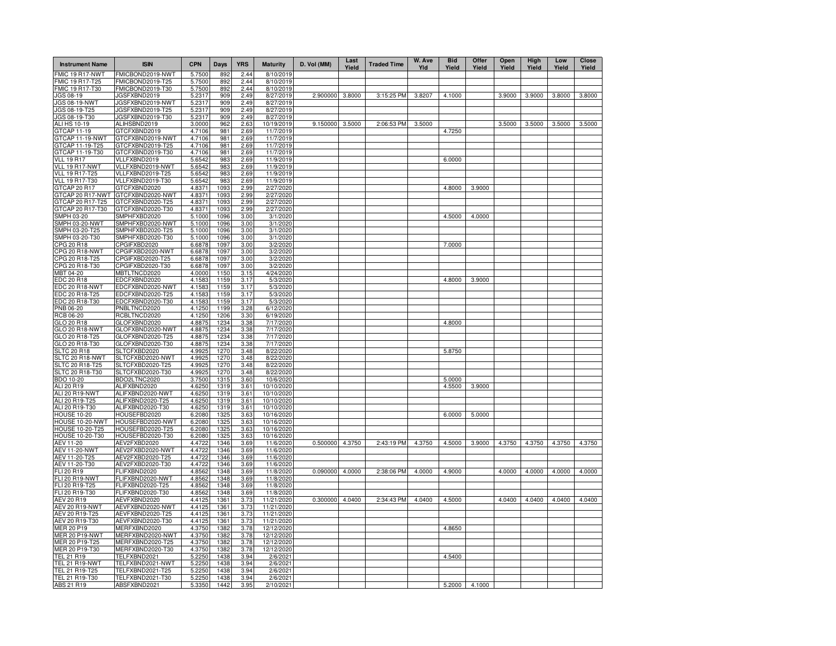| <b>Instrument Name</b>                    | <b>ISIN</b>                          | <b>CPN</b>       | Days             | <b>YRS</b>   | <b>Maturity</b>          | D. Vol (MM) | Last<br>Yield | <b>Traded Time</b> | W. Ave<br>Yld | <b>Bid</b><br>Yield | Offer<br>Yield | Open<br>Yield | High<br>Yield | Low<br>Yield | Close<br>Yield |
|-------------------------------------------|--------------------------------------|------------------|------------------|--------------|--------------------------|-------------|---------------|--------------------|---------------|---------------------|----------------|---------------|---------------|--------------|----------------|
| FMIC 19 R17-NWT                           | FMICBOND2019-NWT                     | 5.7500           | 892              | 2.44         | 8/10/2019                |             |               |                    |               |                     |                |               |               |              |                |
| FMIC 19 R17-T25<br>FMIC 19 R17-T30        | FMICBOND2019-T25<br>FMICBOND2019-T30 | 5.7500<br>5.7500 | 892<br>892       | 2.44<br>2.44 | 8/10/2019<br>8/10/2019   |             |               |                    |               |                     |                |               |               |              |                |
| JGS 08-19                                 | JGSFXBND2019                         | 5.2317           | 909              | 2.49         | 8/27/2019                | 2.900000    | 3.8000        | 3:15:25 PM         | 3.8207        | 4.1000              |                | 3.9000        | 3.9000        | 3.8000       | 3.8000         |
| JGS 08-19-NWT                             | JGSFXBND2019-NWT                     | 5.2317           | 909              | 2.49         | 8/27/2019                |             |               |                    |               |                     |                |               |               |              |                |
| JGS 08-19-T25                             | JGSFXBND2019-T25                     | 5.2317           | 909              | 2.49         | 8/27/2019                |             |               |                    |               |                     |                |               |               |              |                |
| JGS 08-19-T30                             | JGSFXBND2019-T30                     | 5.2317           | 909              | 2.49         | 8/27/2019                |             |               |                    |               |                     |                |               |               |              |                |
| <b>ALI HS 10-19</b>                       | ALIHSBND2019                         | 3.0000           | 962              | 2.63         | 10/19/2019               | 9.150000    | 3.5000        | 2:06:53 PM         | 3.5000        |                     |                | 3.5000        | 3.5000        | 3.5000       | 3.5000         |
| GTCAP 11-19<br>GTCAP 11-19-NWT            | GTCFXBND2019<br>GTCFXBND2019-NWT     | 4.7106<br>4.7106 | 981<br>981       | 2.69<br>2.69 | 11/7/2019<br>11/7/2019   |             |               |                    |               | 4.7250              |                |               |               |              |                |
| GTCAP 11-19-T25                           | GTCFXBND2019-T25                     | 4.7106           | 981              | 2.69         | 11/7/2019                |             |               |                    |               |                     |                |               |               |              |                |
| GTCAP 11-19-T30                           | GTCFXBND2019-T30                     | 4.7106           | 981              | 2.69         | 11/7/2019                |             |               |                    |               |                     |                |               |               |              |                |
| <b>VLL 19 R17</b>                         | VLLFXBND2019                         | 5.6542           | 983              | 2.69         | 11/9/2019                |             |               |                    |               | 6.0000              |                |               |               |              |                |
| VLL 19 R17-NWT                            | VLLFXBND2019-NWT                     | 5.6542           | 983              | 2.69         | 11/9/2019                |             |               |                    |               |                     |                |               |               |              |                |
| <b>VLL 19 R17-T25</b>                     | VLLFXBND2019-T25                     | 5.6542           | 983              | 2.69         | 11/9/2019                |             |               |                    |               |                     |                |               |               |              |                |
| <b>VLL 19 R17-T30</b>                     | VLLFXBND2019-T30                     | 5.6542           | 983              | 2.69         | 11/9/2019                |             |               |                    |               |                     |                |               |               |              |                |
| GTCAP 20 R17                              | GTCFXBND2020                         | 4.8371           | 1093             | 2.99         | 2/27/2020                |             |               |                    |               | 4.8000              | 3.9000         |               |               |              |                |
| GTCAP 20 R17-NWT<br>GTCAP 20 R17-T25      | GTCFXBND2020-NWT<br>GTCFXBND2020-T25 | 4.8371<br>4.8371 | 1093<br>1093     | 2.99<br>2.99 | 2/27/2020<br>2/27/2020   |             |               |                    |               |                     |                |               |               |              |                |
| GTCAP 20 R17-T30                          | GTCFXBND2020-T30                     | 4.8371           | 1093             | 2.99         | 2/27/2020                |             |               |                    |               |                     |                |               |               |              |                |
| SMPH 03-20                                | SMPHFXBD2020                         | 5.1000           | 1096             | 3.00         | 3/1/2020                 |             |               |                    |               | 4.5000              | 4.0000         |               |               |              |                |
| SMPH 03-20-NWT                            | SMPHFXBD2020-NWT                     | 5.1000           | 1096             | 3.00         | 3/1/2020                 |             |               |                    |               |                     |                |               |               |              |                |
| SMPH 03-20-T25                            | SMPHFXBD2020-T25                     | 5.1000           | 1096             | 3.00         | 3/1/2020                 |             |               |                    |               |                     |                |               |               |              |                |
| SMPH 03-20-T30                            | SMPHFXBD2020-T30                     | 5.1000           | 1096             | 3.00         | 3/1/2020                 |             |               |                    |               |                     |                |               |               |              |                |
| CPG 20 R18                                | CPGIFXBD2020                         | 6.6878           | 1097             | 3.00         | 3/2/2020                 |             |               |                    |               | 7.0000              |                |               |               |              |                |
| CPG 20 R18-NWT<br>CPG 20 R18-T25          | CPGIFXBD2020-NWT<br>CPGIFXBD2020-T25 | 6.6878<br>6.6878 | 1097<br>1097     | 3.00<br>3.00 | 3/2/2020<br>3/2/2020     |             |               |                    |               |                     |                |               |               |              |                |
| CPG 20 R18-T30                            | CPGIFXBD2020-T30                     | 6.6878           | 1097             | 3.00         | 3/2/2020                 |             |               |                    |               |                     |                |               |               |              |                |
| MBT 04-20                                 | MBTLTNCD2020                         | 4.0000           | 1150             | 3.15         | 4/24/2020                |             |               |                    |               |                     |                |               |               |              |                |
| <b>EDC 20 R18</b>                         | EDCFXBND2020                         | 4.1583           | 1159             | 3.17         | 5/3/2020                 |             |               |                    |               | 4.8000              | 3.9000         |               |               |              |                |
| EDC 20 R18-NWT                            | EDCFXBND2020-NWT                     | 4.1583           | 1159             | 3.17         | 5/3/2020                 |             |               |                    |               |                     |                |               |               |              |                |
| EDC 20 R18-T25                            | EDCFXBND2020-T25                     | 4.1583           | 1159             | 3.17         | 5/3/2020                 |             |               |                    |               |                     |                |               |               |              |                |
| EDC 20 R18-T30                            | EDCFXBND2020-T30                     | 4.1583           | 1159             | 3.17         | 5/3/2020                 |             |               |                    |               |                     |                |               |               |              |                |
| PNB 06-20<br>RCB 06-20                    | PNBLTNCD2020<br>RCBLTNCD2020         | 4.1250<br>4.1250 | 1199<br>1206     | 3.28<br>3.30 | 6/12/2020<br>6/19/2020   |             |               |                    |               |                     |                |               |               |              |                |
| GLO 20 R18                                | GLOFXBND2020                         | 4.8875           | 1234             | 3.38         | 7/17/2020                |             |               |                    |               | 4.8000              |                |               |               |              |                |
| GLO 20 R18-NWT                            | GLOFXBND2020-NWT                     | 4.8875           | 1234             | 3.38         | 7/17/2020                |             |               |                    |               |                     |                |               |               |              |                |
| GLO 20 R18-T25                            | GLOFXBND2020-T25                     | 4.8875           | 1234             | 3.38         | 7/17/2020                |             |               |                    |               |                     |                |               |               |              |                |
| GLO 20 R18-T30                            | GLOFXBND2020-T30                     | 4.8875           | 1234             | 3.38         | 7/17/2020                |             |               |                    |               |                     |                |               |               |              |                |
| <b>SLTC 20 R18</b>                        | SLTCFXBD2020                         | 4.9925           | 1270             | 3.48         | 8/22/2020                |             |               |                    |               | 5.8750              |                |               |               |              |                |
| $SLTC$ 20 $R18$ - $\overline{\text{NWT}}$ | SLTCFXBD2020-NWT                     | 4.9925           | 1270<br>1270     | 3.48         | 8/22/2020                |             |               |                    |               |                     |                |               |               |              |                |
| SLTC 20 R18-T25<br>SLTC 20 R18-T30        | SLTCFXBD2020-T25<br>SLTCFXBD2020-T30 | 4.9925<br>4.9925 | 1270             | 3.48<br>3.48 | 8/22/2020<br>8/22/2020   |             |               |                    |               |                     |                |               |               |              |                |
| BDO 10-20                                 | BDO2LTNC2020                         | 3.7500           | 1315             | 3.60         | 10/6/2020                |             |               |                    |               | 5.0000              |                |               |               |              |                |
| ALI 20 R19                                | ALIFXBND2020                         | 4.6250           | 1319             | 3.61         | 10/10/2020               |             |               |                    |               | 4.5500              | 3.9000         |               |               |              |                |
| ALI 20 R19-NWT                            | ALIFXBND2020-NWT                     | 4.6250           | 1319             | 3.61         | 10/10/2020               |             |               |                    |               |                     |                |               |               |              |                |
| ALI 20 R19-T25                            | ALIFXBND2020-T25                     | 4.6250           | 1319             | 3.61         | 10/10/2020               |             |               |                    |               |                     |                |               |               |              |                |
| ALI 20 R19-T30                            | ALIFXBND2020-T30                     | 4.6250           | 1319             | 3.61         | 10/10/2020               |             |               |                    |               |                     |                |               |               |              |                |
| <b>HOUSE 10-20</b>                        | HOUSEFBD2020                         | 6.2080           | 1325<br>1325     | 3.63         | 10/16/2020               |             |               |                    |               | 6.0000              | 5.0000         |               |               |              |                |
| HOUSE 10-20-NWT<br><b>HOUSE 10-20-T25</b> | HOUSEFBD2020-NWT<br>HOUSEFBD2020-T25 | 6.2080<br>6.2080 | 1325             | 3.63<br>3.63 | 10/16/2020<br>10/16/2020 |             |               |                    |               |                     |                |               |               |              |                |
| HOUSE 10-20-T30                           | HOUSEFBD2020-T30                     | 6.2080           | 1325             | 3.63         | 10/16/2020               |             |               |                    |               |                     |                |               |               |              |                |
| AEV 11-20                                 | AEV2FXBD2020                         | 4.4722           | 1346             | 3.69         | 11/6/2020                | 0.500000    | 4.3750        | 2:43:19 PM         | 4.3750        | 4.5000              | 3.9000         | 4.3750        | 4.3750        | 4.3750       | 4.3750         |
| <b>AEV 11-20-NWT</b>                      | AEV2FXBD2020-NWT                     | 4.4722           | 1346             | 3.69         | 11/6/2020                |             |               |                    |               |                     |                |               |               |              |                |
| AEV 11-20-T25                             | AEV2FXBD2020-T25                     | 4.4722           | 1346             | 3.69         | 11/6/2020                |             |               |                    |               |                     |                |               |               |              |                |
| AEV 11-20-T30<br>FLI 20 R19               | AEV2FXBD2020-T30<br>FLIFXBND2020     | 4.4722           | 1346             | 3.69         | 11/6/2020                | 0.090000    | 4.0000        | 2:38:06 PM         | 4.0000        | 4.9000              |                | 4.0000        | 4.0000        | 4.0000       |                |
| FLI 20 R19-NWT                            | FLIFXBND2020-NWT                     | 4.8562<br>4.856  | 1348<br>1348     | 3.69<br>3.69 | 11/8/2020<br>11/8/2020   |             |               |                    |               |                     |                |               |               |              | 4.0000         |
| FLI 20 R19-T25                            | FLIFXBND2020-T25                     | 4.8562           | 1348             | 3.69         | 11/8/2020                |             |               |                    |               |                     |                |               |               |              |                |
| FLI 20 R19-T30                            | FLIFXBND2020-T30                     | 4.856            | 1348             | 3.69         | 11/8/2020                |             |               |                    |               |                     |                |               |               |              |                |
| <b>AEV 20 R19</b>                         | AEVFXBND2020                         | 4.4125           | 1361             | 3.73         | 11/21/2020               | 0.300000    | 4.0400        | 2:34:43 PM         | 4.0400        | 4.5000              |                | 4.0400        | 4.0400        | 4.0400       | 4.0400         |
| AEV 20 R19-NWT                            | AEVFXBND2020-NWT                     | 4.4125           | $136 -$          | 3.73         | 11/21/2020               |             |               |                    |               |                     |                |               |               |              |                |
| AEV 20 R19-T25                            | AEVFXBND2020-T25                     | 4.4125           | $136 -$          | 3.73         | 11/21/2020               |             |               |                    |               |                     |                |               |               |              |                |
| AEV 20 R19-T30                            | AEVFXBND2020-T30                     | 4.4125           | 136 <sup>°</sup> | 3.73         | 11/21/2020               |             |               |                    |               |                     |                |               |               |              |                |
| <b>MER 20 P19</b><br>MER 20 P19-NWT       | MERFXBND2020<br>MERFXBND2020-NWT     | 4.3750<br>4.3750 | 1382<br>1382     | 3.78<br>3.78 | 12/12/2020               |             |               |                    |               | 4.8650              |                |               |               |              |                |
| MER 20 P19-T25                            | MERFXBND2020-T25                     | 4.3750           | 1382             | 3.78         | 12/12/2020<br>12/12/2020 |             |               |                    |               |                     |                |               |               |              |                |
| MER 20 P19-T30                            | MERFXBND2020-T30                     | 4.3750           | 1382             | 3.78         | 12/12/2020               |             |               |                    |               |                     |                |               |               |              |                |
| <b>TEL 21 R19</b>                         | TELFXBND2021                         | 5.2250           | 1438             | 3.94         | 2/6/2021                 |             |               |                    |               | 4.5400              |                |               |               |              |                |
| TEL 21 R19-NWT                            | TELFXBND2021-NWT                     | 5.2250           | 1438             | 3.94         | 2/6/2021                 |             |               |                    |               |                     |                |               |               |              |                |
| TEL 21 R19-T25                            | TELFXBND2021-T25                     | 5.2250           | 1438             | 3.94         | 2/6/2021                 |             |               |                    |               |                     |                |               |               |              |                |
| TEL 21 R19-T30                            | TELFXBND2021-T30                     | 5.2250           | 1438             | 3.94         | 2/6/2021                 |             |               |                    |               |                     |                |               |               |              |                |
| ABS 21 R19                                | ABSFXBND2021                         | 5.3350           | 1442             | 3.95         | 2/10/2021                |             |               |                    |               | 5.2000              | 4.1000         |               |               |              |                |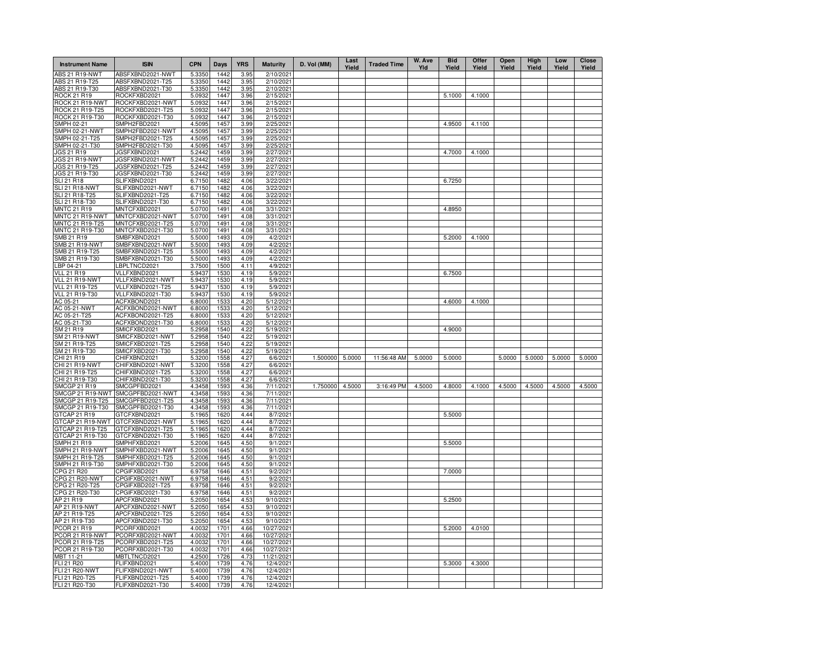| <b>Instrument Name</b>                  | <b>ISIN</b>                          | <b>CPN</b>       | Days         | <b>YRS</b>   | <b>Maturity</b>        | D. Vol (MM) | Last<br>Yield | <b>Traded Time</b> | W. Ave<br>Yld | <b>Bid</b><br>Yield | Offer<br>Yield | Open<br>Yield | High<br>Yield | Low<br>Yield | <b>Close</b><br>Yield |
|-----------------------------------------|--------------------------------------|------------------|--------------|--------------|------------------------|-------------|---------------|--------------------|---------------|---------------------|----------------|---------------|---------------|--------------|-----------------------|
| ABS 21 R19-NWT                          | ABSFXBND2021-NWT                     | 5.3350           | 1442         | 3.95         | 2/10/2021              |             |               |                    |               |                     |                |               |               |              |                       |
| ABS 21 R19-T25                          | ABSFXBND2021-T25                     | 5.3350           | 1442         | 3.95         | 2/10/2021              |             |               |                    |               |                     |                |               |               |              |                       |
| ABS 21 R19-T30                          | ABSFXBND2021-T30                     | 5.3350           | 1442         | 3.95         | 2/10/2021              |             |               |                    |               |                     |                |               |               |              |                       |
| ROCK 21 R19                             | ROCKFXBD2021                         | 5.0932           | 1447         | 3.96         | 2/15/2021              |             |               |                    |               | 5.1000              | 4.1000         |               |               |              |                       |
| ROCK 21 R19-NWT                         | ROCKFXBD2021-NWT                     | 5.0932           | 1447         | 3.96         | 2/15/2021              |             |               |                    |               |                     |                |               |               |              |                       |
| ROCK 21 R19-T25<br>ROCK 21 R19-T30      | ROCKFXBD2021-T25<br>ROCKFXBD2021-T30 | 5.0932<br>5.0932 | 1447<br>1447 | 3.96<br>3.96 | 2/15/2021<br>2/15/2021 |             |               |                    |               |                     |                |               |               |              |                       |
| SMPH 02-21                              | SMPH2FBD2021                         | 4.5095           | 1457         | 3.99         | 2/25/2021              |             |               |                    |               | 4.9500              | 4.1100         |               |               |              |                       |
| SMPH 02-21-NWT                          | SMPH2FBD2021-NWT                     | 4.5095           | 1457         | 3.99         | 2/25/2021              |             |               |                    |               |                     |                |               |               |              |                       |
| SMPH 02-21-T25                          | SMPH2FBD2021-T25                     | 4.5095           | 1457         | 3.99         | 2/25/2021              |             |               |                    |               |                     |                |               |               |              |                       |
| SMPH 02-21-T30                          | SMPH2FBD2021-T30                     | 4.5095           | 1457         | 3.99         | 2/25/2021              |             |               |                    |               |                     |                |               |               |              |                       |
| JGS 21 R19                              | JGSFXBND2021                         | 5.2442           | 1459         | 3.99         | 2/27/2021              |             |               |                    |               | 4.7000              | 4.1000         |               |               |              |                       |
| JGS 21 R19-NWT                          | JGSFXBND2021-NWT                     | 5.2442           | 1459         | 3.99         | 2/27/2021              |             |               |                    |               |                     |                |               |               |              |                       |
| JGS 21 R19-T25                          | JGSFXBND2021-T25                     | 5.2442           | 1459         | 3.99         | 2/27/2021              |             |               |                    |               |                     |                |               |               |              |                       |
| JGS 21 R19-T30                          | JGSFXBND2021-T30                     | 5.2442           | 1459         | 3.99         | 2/27/2021              |             |               |                    |               |                     |                |               |               |              |                       |
| <b>SLI 21 R18</b>                       | SLIFXBND2021                         | 6.7150           | 1482         | 4.06         | 3/22/2021              |             |               |                    |               | 6.7250              |                |               |               |              |                       |
| SLI 21 R18-NWT                          | SLIFXBND2021-NWT                     | 6.7150           | 1482         | 4.06         | 3/22/2021              |             |               |                    |               |                     |                |               |               |              |                       |
| SLI 21 R18-T25                          | SLIFXBND2021-T25                     | 6.7150           | 1482         | 4.06         | 3/22/2021              |             |               |                    |               |                     |                |               |               |              |                       |
| SLI 21 R18-T30                          | SLIFXBND2021-T30                     | 6.7150           | 1482         | 4.06         | 3/22/2021              |             |               |                    |               |                     |                |               |               |              |                       |
| <b>MNTC 21 R19</b>                      | MNTCFXBD2021                         | 5.0700           | 1491         | 4.08         | 3/31/2021              |             |               |                    |               | 4.8950              |                |               |               |              |                       |
| MNTC 21 R19-NWT                         | MNTCFXBD2021-NWT                     | 5.0700           | 1491         | 4.08         | 3/31/2021              |             |               |                    |               |                     |                |               |               |              |                       |
| MNTC 21 R19-T25<br>MNTC 21 R19-T30      | MNTCFXBD2021-T25<br>MNTCFXBD2021-T30 | 5.0700<br>5.0700 | 1491<br>1491 | 4.08<br>4.08 | 3/31/2021<br>3/31/2021 |             |               |                    |               |                     |                |               |               |              |                       |
| SMB 21 R19                              | SMBFXBND2021                         | 5.5000           | 1493         | 4.09         | 4/2/2021               |             |               |                    |               | 5.2000              | 4.1000         |               |               |              |                       |
| <b>SMB 21 R19-NWT</b>                   | SMBFXBND2021-NWT                     | 5.5000           | 1493         | 4.09         | 4/2/2021               |             |               |                    |               |                     |                |               |               |              |                       |
| SMB 21 R19-T25                          | SMBFXBND2021-T25                     | 5.5000           | 1493         | 4.09         | 4/2/2021               |             |               |                    |               |                     |                |               |               |              |                       |
| SMB 21 R19-T30                          | SMBFXBND2021-T30                     | 5.5000           | 1493         | 4.09         | 4/2/2021               |             |               |                    |               |                     |                |               |               |              |                       |
| LBP 04-21                               | BPLTNCD2021                          | 3.7500           | 1500         | 4.11         | 4/9/2021               |             |               |                    |               |                     |                |               |               |              |                       |
| <b>VLL 21 R19</b>                       | VLLFXBND2021                         | 5.9437           | 1530         | 4.19         | 5/9/2021               |             |               |                    |               | 6.7500              |                |               |               |              |                       |
| VLL 21 R19-NWT                          | VLLFXBND2021-NWT                     | 5.9437           | 1530         | 4.19         | 5/9/2021               |             |               |                    |               |                     |                |               |               |              |                       |
| VLL 21 R19-T25                          | VLLFXBND2021-T25                     | 5.9437           | 1530         | 4.19         | 5/9/2021               |             |               |                    |               |                     |                |               |               |              |                       |
| VLL 21 R19-T30                          | VLLFXBND2021-T30                     | 5.9437           | 1530         | 4.19         | 5/9/2021               |             |               |                    |               |                     |                |               |               |              |                       |
| AC 05-21                                | ACFXBOND2021                         | 6.8000           | 1533         | 4.20         | 5/12/2021              |             |               |                    |               | 4.6000              | 4.1000         |               |               |              |                       |
| AC 05-21-NWT                            | ACFXBOND2021-NWT                     | 6.8000           | 1533         | 4.20         | 5/12/2021              |             |               |                    |               |                     |                |               |               |              |                       |
| AC 05-21-T25                            | ACFXBOND2021-T25                     | 6.8000           | 1533         | 4.20         | 5/12/2021              |             |               |                    |               |                     |                |               |               |              |                       |
| AC 05-21-T30                            | ACFXBOND2021-T30                     | 6.8000           | 1533         | 4.20         | 5/12/2021              |             |               |                    |               |                     |                |               |               |              |                       |
| SM 21 R19                               | SMICFXBD2021                         | 5.2958           | 1540         | 4.22         | 5/19/2021              |             |               |                    |               | 4.9000              |                |               |               |              |                       |
| <b>SM 21 R19-NWT</b>                    | SMICFXBD2021-NWT                     | 5.2958           | 1540         | 4.22         | 5/19/2021              |             |               |                    |               |                     |                |               |               |              |                       |
| SM 21 R19-T25                           | SMICFXBD2021-T25                     | 5.2958           | 1540         | 4.22         | 5/19/2021              |             |               |                    |               |                     |                |               |               |              |                       |
| SM 21 R19-T30<br>CHI 21 R19             | SMICFXBD2021-T30<br>CHIFXBND2021     | 5.2958<br>5.3200 | 1540<br>1558 | 4.22<br>4.27 | 5/19/2021<br>6/6/2021  | 1.500000    | 5.0000        | 11:56:48 AM        | 5.0000        | 5.0000              |                | 5.0000        | 5.0000        | 5.0000       | 5.0000                |
| CHI 21 R19-NWT                          | CHIFXBND2021-NWT                     | 5.3200           | 1558         | 4.27         | 6/6/2021               |             |               |                    |               |                     |                |               |               |              |                       |
| CHI 21 R19-T25                          | CHIFXBND2021-T25                     | 5.3200           | 1558         | 4.27         | 6/6/2021               |             |               |                    |               |                     |                |               |               |              |                       |
| CHI 21 R19-T30                          | CHIFXBND2021-T30                     | 5.3200           | 1558         | 4.27         | 6/6/2021               |             |               |                    |               |                     |                |               |               |              |                       |
| SMCGP 21 R19                            | SMCGPFBD2021                         | 4.3458           | 1593         | 4.36         | 7/11/2021              | 1.750000    | 4.5000        | 3:16:49 PM         | 4.5000        | 4.8000              | 4.1000         | 4.5000        | 4.5000        | 4.5000       | 4.5000                |
| SMCGP 21 R19-NWT                        | SMCGPFBD2021-NWT                     | 4.3458           | 1593         | 4.36         | 7/11/2021              |             |               |                    |               |                     |                |               |               |              |                       |
| SMCGP 21 R19-T25                        | SMCGPFBD2021-T25                     | 4.3458           | 1593         | 4.36         | 7/11/2021              |             |               |                    |               |                     |                |               |               |              |                       |
| SMCGP 21 R19-T30                        | SMCGPFBD2021-T30                     | 4.3458           | 1593         | 4.36         | 7/11/2021              |             |               |                    |               |                     |                |               |               |              |                       |
| GTCAP 21 R19                            | GTCFXBND2021                         | 5.1965           | 1620         | 4.44         | 8/7/2021               |             |               |                    |               | 5.5000              |                |               |               |              |                       |
| GTCAP 21 R19-NWT                        | GTCFXBND2021-NWT                     | 5.1965           | 1620         | 4.44         | 8/7/2021               |             |               |                    |               |                     |                |               |               |              |                       |
| GTCAP 21 R19-T25                        | GTCFXBND2021-T25                     | 5.1965           | 1620         | 4.44         | 8/7/2021               |             |               |                    |               |                     |                |               |               |              |                       |
| GTCAP 21 R19-T30                        | GTCFXBND2021-T30                     | 5.1965           | 1620         | 4.44         | 8/7/2021               |             |               |                    |               |                     |                |               |               |              |                       |
| SMPH 21 R19                             | SMPHFXBD2021                         | 5.2006           | 1645         | 4.50         | 9/1/2021               |             |               |                    |               | 5.5000              |                |               |               |              |                       |
| SMPH 21 R19-NWT                         | SMPHFXBD2021-NWT                     | 5.2006           | 1645         | 4.50         | 9/1/2021               |             |               |                    |               |                     |                |               |               |              |                       |
| SMPH 21 R19-T25<br>SMPH 21 R19-T30      | SMPHFXBD2021-T25<br>SMPHFXBD2021-T30 | 5.2006<br>5.2006 | 1645<br>1645 | 4.50<br>4.50 | 9/1/2021<br>9/1/2021   |             |               |                    |               |                     |                |               |               |              |                       |
| CPG 21 R20                              | CPGIFXBD2021                         | 6.9758           | 1646         | 4.51         | 9/2/2021               |             |               |                    |               | 7.0000              |                |               |               |              |                       |
| CPG 21 R20-NWT                          | CPGIFXBD2021-NWT                     | 6.9758           | 1646         | 4.51         | 9/2/2021               |             |               |                    |               |                     |                |               |               |              |                       |
| CPG 21 R20-T25                          | CPGIFXBD2021-T25                     | 6.9758           | 1646         | 4.51         | 9/2/2021               |             |               |                    |               |                     |                |               |               |              |                       |
| CPG 21 R20-T30                          | CPGIFXBD2021-T30                     | 6.9758           | 1646         | 4.51         | 9/2/2021               |             |               |                    |               |                     |                |               |               |              |                       |
| AP 21 R19                               | APCFXBND2021                         | 5.2050           | 1654         | 4.53         | 9/10/2021              |             |               |                    |               | 5.2500              |                |               |               |              |                       |
| AP 21 R19-NWT                           | APCFXBND2021-NWT                     | 5.2050           | 1654         | 4.53         | 9/10/2021              |             |               |                    |               |                     |                |               |               |              |                       |
| AP 21 R19-T25                           | APCFXBND2021-T25                     | 5.2050           | 1654         | 4.53         | 9/10/2021              |             |               |                    |               |                     |                |               |               |              |                       |
| AP 21 R19-T30                           | APCFXBND2021-T30                     | 5.2050           | 1654         | 4.53         | 9/10/2021              |             |               |                    |               |                     |                |               |               |              |                       |
| PCOR 21 R19                             | PCORFXBD2021                         | 4.0032           | 1701         | 4.66         | 10/27/2021             |             |               |                    |               | 5.2000              | 4.0100         |               |               |              |                       |
| PCOR 21 R19-NWT                         | PCORFXBD2021-NWT                     | 4.0032           | 1701         | 4.66         | 10/27/2021             |             |               |                    |               |                     |                |               |               |              |                       |
| PCOR 21 R19-T25                         | PCORFXBD2021-T25                     | 4.0032           | 1701         | 4.66         | 10/27/2021             |             |               |                    |               |                     |                |               |               |              |                       |
| PCOR 21 R19-T30                         | PCORFXBD2021-T30                     | 4.0032           | 1701         | 4.66         | 10/27/2021             |             |               |                    |               |                     |                |               |               |              |                       |
| MBT 11-21                               | MBTLTNCD2021                         | 4.2500           | 1726         | 4.73         | 11/21/2021             |             |               |                    |               |                     |                |               |               |              |                       |
| FLI 21 R20                              | FLIFXBND2021                         | 5.4000           | 1739<br>1739 | 4.76         | 12/4/2021              |             |               |                    |               | 5.3000              | 4.3000         |               |               |              |                       |
| <b>FLI 21 R20-NWT</b><br>FLI 21 R20-T25 | FLIFXBND2021-NWT<br>FLIFXBND2021-T25 | 5.4000<br>5.4000 | 1739         | 4.76<br>4.76 | 12/4/2021<br>12/4/2021 |             |               |                    |               |                     |                |               |               |              |                       |
| FLI 21 R20-T30                          | FLIFXBND2021-T30                     | 5.4000           | 1739         | 4.76         | 12/4/2021              |             |               |                    |               |                     |                |               |               |              |                       |
|                                         |                                      |                  |              |              |                        |             |               |                    |               |                     |                |               |               |              |                       |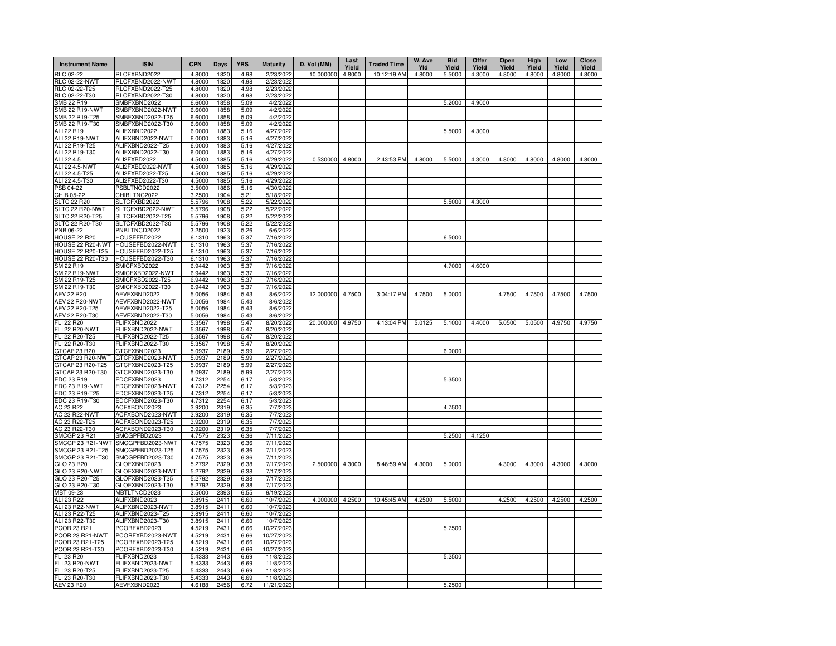| <b>Instrument Name</b>                | <b>ISIN</b>                          | <b>CPN</b>       | Days         | <b>YRS</b>   | <b>Maturity</b>        | D. Vol (MM)     | Last<br>Yield | <b>Traded Time</b> | W. Ave<br>Yld | <b>Bid</b><br>Yield | Offer<br>Yield | Open<br>Yield | High<br>Yield | Low<br>Yield | Close<br>Yield |
|---------------------------------------|--------------------------------------|------------------|--------------|--------------|------------------------|-----------------|---------------|--------------------|---------------|---------------------|----------------|---------------|---------------|--------------|----------------|
| RLC 02-22                             | RLCFXBND2022                         | 4.8000           | 1820         | 4.98         | 2/23/2022              | 10.000000       | 4.8000        | 10:12:19 AM        | 4.8000        | 5.5000              | 4.3000         | 4.8000        | 4.8000        | 4.8000       | 4.8000         |
| <b>RLC 02-22-NWT</b>                  | RLCFXBND2022-NWT                     | 4.8000           | 1820         | 4.98         | 2/23/2022              |                 |               |                    |               |                     |                |               |               |              |                |
| RLC 02-22-T25<br>RLC 02-22-T30        | RLCFXBND2022-T25<br>RLCFXBND2022-T30 | 4.8000<br>4.8000 | 1820<br>1820 | 4.98<br>4.98 | 2/23/2022<br>2/23/2022 |                 |               |                    |               |                     |                |               |               |              |                |
| SMB 22 R19                            | SMBFXBND2022                         | 6.6000           | 1858         | 5.09         | 4/2/2022               |                 |               |                    |               | 5.2000              | 4.9000         |               |               |              |                |
| <b>SMB 22 R19-NWT</b>                 | SMBFXBND2022-NWT                     | 6.6000           | 1858         | 5.09         | 4/2/2022               |                 |               |                    |               |                     |                |               |               |              |                |
| SMB 22 R19-T25                        | SMBFXBND2022-T25                     | 6.6000           | 1858         | 5.09         | 4/2/202                |                 |               |                    |               |                     |                |               |               |              |                |
| SMB 22 R19-T30                        | SMBFXBND2022-T30                     | 6.6000           | 1858         | 5.09         | 4/2/202                |                 |               |                    |               |                     |                |               |               |              |                |
| ALI 22 R19                            | ALIFXBND2022                         | 6.0000           | 1883         | 5.16         | 4/27/202               |                 |               |                    |               | 5.5000              | 4.3000         |               |               |              |                |
| <b>ALI 22 R19-NWT</b>                 | ALIFXBND2022-NWT                     | 6.0000           | 1883         | 5.16         | 4/27/202               |                 |               |                    |               |                     |                |               |               |              |                |
| ALI 22 R19-T25<br>ALI 22 R19-T30      | ALIFXBND2022-T25<br>ALIFXBND2022-T30 | 6.0000<br>6.0000 | 1883<br>1883 | 5.16<br>5.16 | 4/27/202<br>4/27/202   |                 |               |                    |               |                     |                |               |               |              |                |
| ALI 22 4.5                            | ALI2FXBD2022                         | 4.5000           | 1885         | 5.16         | 4/29/202               | 0.530000        | 4.8000        | 2:43:53 PM         | 4.8000        | 5.5000              | 4.3000         | 4.8000        | 4.8000        | 4.8000       | 4.8000         |
| ALI 22 4.5-NWT                        | ALI2FXBD2022-NWT                     | 4.5000           | 1885         | 5.16         | 4/29/202               |                 |               |                    |               |                     |                |               |               |              |                |
| ALI 22 4.5-T25                        | ALI2FXBD2022-T25                     | 4.5000           | 1885         | 5.16         | 4/29/2022              |                 |               |                    |               |                     |                |               |               |              |                |
| ALI 22 4.5-T30                        | ALI2FXBD2022-T30                     | 4.5000           | 1885         | 5.16         | 4/29/202               |                 |               |                    |               |                     |                |               |               |              |                |
| PSB 04-22                             | PSBLTNCD2022                         | 3.5000           | 1886         | 5.16         | 4/30/2022              |                 |               |                    |               |                     |                |               |               |              |                |
| CHIB 05-22                            | CHIBLTNC2022                         | 3.2500           | 1904         | 5.21         | 5/18/2022              |                 |               |                    |               |                     |                |               |               |              |                |
| <b>SLTC 22 R20</b><br>SLTC 22 R20-NWT | SLTCFXBD2022<br>SLTCFXBD2022-NWT     | 5.5796           | 1908<br>1908 | 5.22         | 5/22/2022<br>5/22/2022 |                 |               |                    |               | 5.5000              | 4.3000         |               |               |              |                |
| SLTC 22 R20-T25                       | SLTCFXBD2022-T25                     | 5.5796<br>5.5796 | 1908         | 5.22<br>5.22 | 5/22/2022              |                 |               |                    |               |                     |                |               |               |              |                |
| SLTC 22 R20-T30                       | SLTCFXBD2022-T30                     | 5.5796           | 1908         | 5.22         | 5/22/2022              |                 |               |                    |               |                     |                |               |               |              |                |
| PNB 06-22                             | PNBLTNCD2022                         | 3.2500           | 1923         | 5.26         | 6/6/2022               |                 |               |                    |               |                     |                |               |               |              |                |
| HOUSE 22 R20                          | HOUSEFBD2022                         | 6.1310           | 1963         | 5.37         | 7/16/2022              |                 |               |                    |               | 6.5000              |                |               |               |              |                |
| HOUSE 22 R20-NWT                      | HOUSEFBD2022-NWT                     | 6.1310           | 1963         | 5.37         | 7/16/2022              |                 |               |                    |               |                     |                |               |               |              |                |
| <b>HOUSE 22 R20-T25</b>               | HOUSEFBD2022-T25                     | 6.1310           | 1963         | 5.37         | 7/16/2022              |                 |               |                    |               |                     |                |               |               |              |                |
| <b>HOUSE 22 R20-T30</b>               | HOUSEFBD2022-T30                     | 6.1310           | 1963         | 5.37         | 7/16/2022              |                 |               |                    |               |                     |                |               |               |              |                |
| SM 22 R19                             | SMICFXBD2022                         | 6.9442           | 1963         | 5.37         | 7/16/2022              |                 |               |                    |               | 4.7000              | 4.6000         |               |               |              |                |
| <b>SM 22 R19-NWT</b><br>SM 22 R19-T25 | SMICFXBD2022-NWT<br>SMICFXBD2022-T25 | 6.9442<br>6.9442 | 1963<br>1963 | 5.37<br>5.37 | 7/16/2022<br>7/16/2022 |                 |               |                    |               |                     |                |               |               |              |                |
| SM 22 R19-T30                         | SMICFXBD2022-T30                     | 6.9442           | 1963         | 5.37         | 7/16/2022              |                 |               |                    |               |                     |                |               |               |              |                |
| AEV 22 R20                            | AEVFXBND2022                         | 5.0056           | 1984         | 5.43         | 8/6/2022               | 12.000000       | 4.7500        | 3:04:17 PM         | 4.7500        | 5.0000              |                | 4.7500        | 4.7500        | 4.7500       | 4.7500         |
| <b>AEV 22 R20-NWT</b>                 | AEVFXBND2022-NWT                     | 5.0056           | 1984         | 5.43         | 8/6/202                |                 |               |                    |               |                     |                |               |               |              |                |
| AEV 22 R20-T25                        | AEVFXBND2022-T25                     | 5.0056           | 1984         | 5.43         | 8/6/202                |                 |               |                    |               |                     |                |               |               |              |                |
| AEV 22 R20-T30                        | AEVFXBND2022-T30                     | 5.0056           | 1984         | 5.43         | 8/6/202                |                 |               |                    |               |                     |                |               |               |              |                |
| FLI 22 R20                            | FLIFXBND2022                         | 5.3567           | 1998         | 5.47         | 8/20/202               | 20.000000       | 4.9750        | 4:13:04 PM         | 5.0125        | 5.1000              | 4.4000         | 5.0500        | 5.0500        | 4.9750       | 4.9750         |
| FLI 22 R20-NWT                        | FLIFXBND2022-NWT                     | 5.3567           | 1998         | 5.47         | 8/20/202               |                 |               |                    |               |                     |                |               |               |              |                |
| FLI 22 R20-T25<br>FLI 22 R20-T30      | FLIFXBND2022-T25<br>FLIFXBND2022-T30 | 5.3567<br>5.3567 | 1998<br>1998 | 5.47<br>5.47 | 8/20/202<br>8/20/202   |                 |               |                    |               |                     |                |               |               |              |                |
| GTCAP 23 R20                          | GTCFXBND2023                         | 5.0937           | 2189         | 5.99         | 2/27/202               |                 |               |                    |               | 6.0000              |                |               |               |              |                |
| GTCAP 23 R20-NWT                      | GTCFXBND2023-NWT                     | 5.0937           | 2189         | 5.99         | 2/27/202               |                 |               |                    |               |                     |                |               |               |              |                |
| GTCAP 23 R20-T25                      | GTCFXBND2023-T25                     | 5.0937           | 2189         | 5.99         | 2/27/202               |                 |               |                    |               |                     |                |               |               |              |                |
| GTCAP 23 R20-T30                      | GTCFXBND2023-T30                     | 5.0937           | 2189         | 5.99         | 2/27/2023              |                 |               |                    |               |                     |                |               |               |              |                |
| EDC 23 R19                            | EDCFXBND2023                         | 4.7312           | 2254         | 6.17         | 5/3/2023               |                 |               |                    |               | 5.3500              |                |               |               |              |                |
| EDC 23 R19-NWT                        | EDCFXBND2023-NWT                     | 4.7312           | 2254         | 6.17         | 5/3/2023               |                 |               |                    |               |                     |                |               |               |              |                |
| EDC 23 R19-T25<br>EDC 23 R19-T30      | EDCFXBND2023-T25<br>EDCFXBND2023-T30 | 4.7312<br>4.7312 | 2254<br>2254 | 6.17<br>6.17 | 5/3/2023<br>5/3/2023   |                 |               |                    |               |                     |                |               |               |              |                |
| AC 23 R22                             | ACFXBOND2023                         | 3.9200           | 2319         | 6.35         | 7/7/2023               |                 |               |                    |               | 4.7500              |                |               |               |              |                |
| <b>AC 23 R22-NWT</b>                  | ACFXBOND2023-NWT                     | 3.9200           | 2319         | 6.35         | 7/7/2023               |                 |               |                    |               |                     |                |               |               |              |                |
| AC 23 R22-T25                         | ACFXBOND2023-T25                     | 3.9200           | 2319         | 6.35         | 7/7/2023               |                 |               |                    |               |                     |                |               |               |              |                |
| AC 23 R22-T30                         | ACFXBOND2023-T30                     | 3.9200           | 2319         | 6.35         | 7/7/2023               |                 |               |                    |               |                     |                |               |               |              |                |
| SMCGP 23 R21                          | SMCGPFBD2023                         | 4.7575           | 2323         | 6.36         | 7/11/2023              |                 |               |                    |               | 5.2500              | 4.1250         |               |               |              |                |
| SMCGP 23 R21-NWT                      | SMCGPFBD2023-NWT                     | 4.7575           | 2323         | 6.36         | 7/11/2023              |                 |               |                    |               |                     |                |               |               |              |                |
| SMCGP 23 R21-T25<br>SMCGP 23 R21-T30  | SMCGPFBD2023-T25<br>SMCGPFBD2023-T30 | 4.7575<br>4.7575 | 2323<br>2323 | 6.36<br>6.36 | 7/11/2023<br>7/11/2023 |                 |               |                    |               |                     |                |               |               |              |                |
| GLO 23 R20                            | GLOFXBND2023                         | 5.2792           | 2329         | 6.38         | 7/17/2023              | 2.500000 4.3000 |               | 8:46:59 AM         | 4.3000        | 5.0000              |                | 4.3000        | 4.3000        | 4.3000       | 4.3000         |
| GLO 23 R20-NWT                        | GLOFXBND2023-NWT                     | 5.2792           | 2329         | 6.38         | 7/17/2023              |                 |               |                    |               |                     |                |               |               |              |                |
| GLO 23 R20-T25                        | GLOFXBND2023-T25                     | 5.2792           | 2329         | 6.38         | 7/17/2023              |                 |               |                    |               |                     |                |               |               |              |                |
| GLO 23 R20-T30                        | GLOFXBND2023-T30                     | 5.2792           | 2329         | 6.38         | 7/17/202               |                 |               |                    |               |                     |                |               |               |              |                |
| MBT 09-23                             | MBTLTNCD2023                         | 3.5000           | 2393         | 6.55         | 9/19/2023              |                 |               |                    |               |                     |                |               |               |              |                |
| ALI 23 R22                            | ALIFXBND2023                         | 3.8915           | 2411         | 6.60         | 10/7/202               | 4.000000        | 4.2500        | 10:45:45 AM        | 4.2500        | 5.5000              |                | 4.2500        | 4.2500        | 4.2500       | 4.2500         |
| ALI 23 R22-NWT<br>ALI 23 R22-T25      | ALIFXBND2023-NWT<br>ALIFXBND2023-T25 | 3.8915           | 2411<br>2411 | 6.60         | 10/7/2023<br>10/7/2023 |                 |               |                    |               |                     |                |               |               |              |                |
| ALI 23 R22-T30                        | ALIFXBND2023-T30                     | 3.8915<br>3.8915 | 2411         | 6.60<br>6.60 | 10/7/2023              |                 |               |                    |               |                     |                |               |               |              |                |
| <b>PCOR 23 R21</b>                    | PCORFXBD2023                         | 4.5219           | $243 -$      | 6.66         | 10/27/202              |                 |               |                    |               | 5.7500              |                |               |               |              |                |
| PCOR 23 R21-NWT                       | PCORFXBD2023-NWT                     | 4.5219           | $243 -$      | 6.66         | 10/27/202              |                 |               |                    |               |                     |                |               |               |              |                |
| PCOR 23 R21-T25                       | PCORFXBD2023-T25                     | 4.5219           | 2431         | 6.66         | 10/27/202              |                 |               |                    |               |                     |                |               |               |              |                |
| PCOR 23 R21-T30                       | PCORFXBD2023-T30                     | 4.5219           | 2431         | 6.66         | 10/27/2023             |                 |               |                    |               |                     |                |               |               |              |                |
| FLI 23 R20                            | FLIFXBND2023                         | 5.4333           | 2443         | 6.69         | 11/8/2023              |                 |               |                    |               | 5.2500              |                |               |               |              |                |
| <b>FLI 23 R20-NWT</b>                 | FLIFXBND2023-NWT                     | 5.4333           | 2443         | 6.69         | 11/8/2023              |                 |               |                    |               |                     |                |               |               |              |                |
| FLI 23 R20-T25<br>FLI 23 R20-T30      | FLIFXBND2023-T25<br>FLIFXBND2023-T30 | 5.4333<br>5.4333 | 2443<br>2443 | 6.69<br>6.69 | 11/8/2023<br>11/8/2023 |                 |               |                    |               |                     |                |               |               |              |                |
| <b>AEV 23 R20</b>                     | AEVFXBND2023                         | 4.6188           | 2456         | 6.72         | 11/21/2023             |                 |               |                    |               | 5.2500              |                |               |               |              |                |
|                                       |                                      |                  |              |              |                        |                 |               |                    |               |                     |                |               |               |              |                |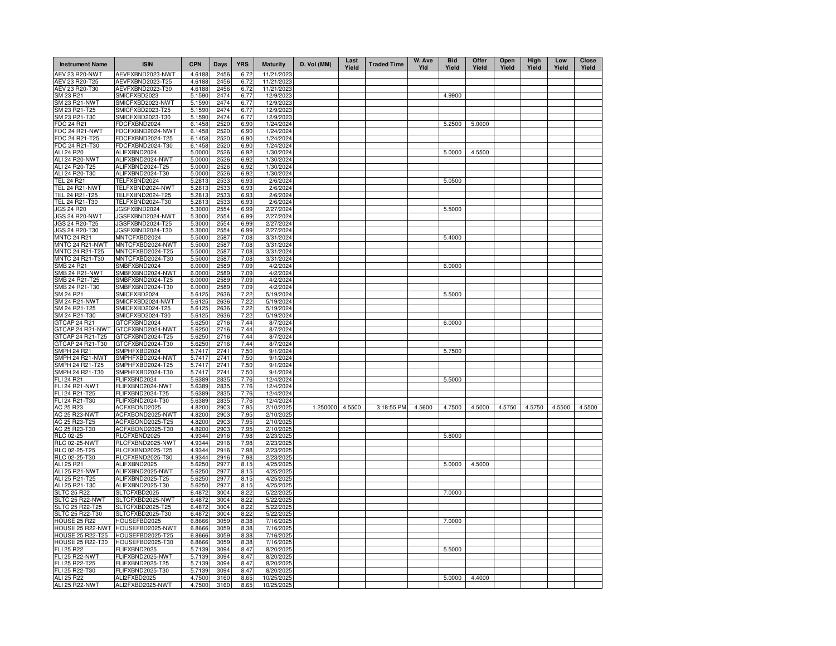| <b>Instrument Name</b>                             | <b>ISIN</b>                          | <b>CPN</b>       | Days         | <b>YRS</b>   | <b>Maturity</b>        | D. Vol (MM) | Last<br>Yield | <b>Traded Time</b> | W. Ave<br>Yld | <b>Bid</b><br>Yield | Offer<br>Yield | Open<br>Yield | High<br>Yield | Low<br>Yield | Close<br>Yield |
|----------------------------------------------------|--------------------------------------|------------------|--------------|--------------|------------------------|-------------|---------------|--------------------|---------------|---------------------|----------------|---------------|---------------|--------------|----------------|
| AEV 23 R20-NWT                                     | AEVFXBND2023-NWT                     | 4.6188           | 2456         | 6.72         | 11/21/2023             |             |               |                    |               |                     |                |               |               |              |                |
| AEV 23 R20-T25                                     | AEVFXBND2023-T25                     | 4.6188           | 2456         | 6.72         | 11/21/202              |             |               |                    |               |                     |                |               |               |              |                |
| AEV 23 R20-T30                                     | AEVFXBND2023-T30                     | 4.6188           | 2456         | 6.72         | 11/21/202              |             |               |                    |               |                     |                |               |               |              |                |
| SM 23 R21<br>SM 23 R21-NWT                         | SMICFXBD2023<br>SMICFXBD2023-NWT     | 5.1590<br>5.1590 | 2474<br>2474 | 6.77<br>6.77 | 12/9/2023<br>12/9/202  |             |               |                    |               | 4.9900              |                |               |               |              |                |
| SM 23 R21-T25                                      | SMICFXBD2023-T25                     | 5.1590           | 2474         | 6.77         | 12/9/202               |             |               |                    |               |                     |                |               |               |              |                |
| SM 23 R21-T30                                      | SMICFXBD2023-T30                     | 5.1590           | 2474         | 6.77         | 12/9/202               |             |               |                    |               |                     |                |               |               |              |                |
| FDC 24 R21                                         | FDCFXBND2024                         | 6.1458           | 2520         | 6.90         | 1/24/2024              |             |               |                    |               | 5.2500              | 5.0000         |               |               |              |                |
| FDC 24 R21-NWT                                     | FDCFXBND2024-NWT                     | 6.1458           | 2520         | 6.90         | 1/24/2024              |             |               |                    |               |                     |                |               |               |              |                |
| FDC 24 R21-T25                                     | FDCFXBND2024-T25                     | 6.1458           | 2520         | 6.90         | 1/24/2024              |             |               |                    |               |                     |                |               |               |              |                |
| FDC 24 R21-T30                                     | FDCFXBND2024-T30                     | 6.1458           | 2520         | 6.90         | 1/24/2024              |             |               |                    |               |                     |                |               |               |              |                |
| ALI 24 R20                                         | ALIFXBND2024                         | 5.0000           | 2526         | 6.92         | 1/30/2024              |             |               |                    |               | 5.0000              | 4.5500         |               |               |              |                |
| ALI 24 R20-NWT                                     | ALIFXBND2024-NWT                     | 5.0000           | 2526         | 6.92         | 1/30/2024              |             |               |                    |               |                     |                |               |               |              |                |
| ALI 24 R20-T25                                     | ALIFXBND2024-T25                     | 5.0000           | 2526         | 6.92         | 1/30/2024              |             |               |                    |               |                     |                |               |               |              |                |
| ALI 24 R20-T30                                     | ALIFXBND2024-T30                     | 5.0000           | 2526         | 6.92         | 1/30/2024              |             |               |                    |               |                     |                |               |               |              |                |
| <b>TEL 24 R21</b><br><b>TEL 24 R21-NWT</b>         | TELFXBND2024<br>TELFXBND2024-NWT     | 5.2813<br>5.2813 | 2533<br>2533 | 6.93         | 2/6/2024<br>2/6/2024   |             |               |                    |               | 5.0500              |                |               |               |              |                |
| TEL 24 R21-T25                                     | TELFXBND2024-T25                     | 5.2813           | 2533         | 6.93<br>6.93 | 2/6/2024               |             |               |                    |               |                     |                |               |               |              |                |
| TEL 24 R21-T30                                     | TELFXBND2024-T30                     | 5.2813           | 2533         | 6.93         | 2/6/2024               |             |               |                    |               |                     |                |               |               |              |                |
| JGS 24 R20                                         | JGSFXBND2024                         | 5.3000           | 2554         | 6.99         | 2/27/2024              |             |               |                    |               | 5.5000              |                |               |               |              |                |
| <b>JGS 24 R20-NWT</b>                              | JGSFXBND2024-NWT                     | 5.3000           | 2554         | 6.99         | 2/27/2024              |             |               |                    |               |                     |                |               |               |              |                |
| JGS 24 R20-T25                                     | JGSFXBND2024-T25                     | 5.3000           | 2554         | 6.99         | 2/27/2024              |             |               |                    |               |                     |                |               |               |              |                |
| JGS 24 R20-T30                                     | JGSFXBND2024-T30                     | 5.3000           | 2554         | 6.99         | 2/27/2024              |             |               |                    |               |                     |                |               |               |              |                |
| <b>MNTC 24 R21</b>                                 | MNTCFXBD2024                         | 5.5000           | 2587         | 7.08         | 3/31/2024              |             |               |                    |               | 5.4000              |                |               |               |              |                |
| MNTC 24 R21-NWT                                    | MNTCFXBD2024-NWT                     | 5.5000           | 2587         | 7.08         | 3/31/2024              |             |               |                    |               |                     |                |               |               |              |                |
| MNTC 24 R21-T25                                    | MNTCFXBD2024-T25                     | 5.5000           | 2587         | 7.08         | 3/31/2024              |             |               |                    |               |                     |                |               |               |              |                |
| MNTC 24 R21-T30                                    | MNTCFXBD2024-T30                     | 5.5000           | 2587         | 7.08         | 3/31/2024              |             |               |                    |               |                     |                |               |               |              |                |
| <b>SMB 24 R21</b>                                  | SMBFXBND2024                         | 6.0000           | 2589         | 7.09         | 4/2/2024               |             |               |                    |               | 6.0000              |                |               |               |              |                |
| SMB 24 R21-NWT                                     | SMBFXBND2024-NWT                     | 6.0000           | 2589         | 7.09         | 4/2/2024               |             |               |                    |               |                     |                |               |               |              |                |
| SMB 24 R21-T25                                     | SMBFXBND2024-T25                     | 6.0000           | 2589         | 7.09         | 4/2/2024               |             |               |                    |               |                     |                |               |               |              |                |
| SMB 24 R21-T30<br>SM 24 R21                        | SMBFXBND2024-T30<br>SMICFXBD2024     | 6.0000<br>5.6125 | 2589<br>2636 | 7.09<br>7.22 | 4/2/2024<br>5/19/2024  |             |               |                    |               | 5.5000              |                |               |               |              |                |
| <b>SM 24 R21-NWT</b>                               | SMICFXBD2024-NWT                     | 5.6125           | 2636         | 7.22         | 5/19/2024              |             |               |                    |               |                     |                |               |               |              |                |
| SM 24 R21-T25                                      | SMICFXBD2024-T25                     | 5.6125           | 2636         | 7.22         | 5/19/2024              |             |               |                    |               |                     |                |               |               |              |                |
| SM 24 R21-T30                                      | SMICFXBD2024-T30                     | 5.6125           | 2636         | 7.22         | 5/19/2024              |             |               |                    |               |                     |                |               |               |              |                |
| GTCAP 24 R21                                       | GTCFXBND2024                         | 5.6250           | 2716         | 7.44         | 8/7/2024               |             |               |                    |               | 6.0000              |                |               |               |              |                |
| GTCAP 24 R21-NWT                                   | GTCFXBND2024-NWT                     | 5.6250           | 2716         | 7.44         | 8/7/2024               |             |               |                    |               |                     |                |               |               |              |                |
| GTCAP 24 R21-T25                                   | GTCFXBND2024-T25                     | 5.6250           | 2716         | 7.44         | 8/7/2024               |             |               |                    |               |                     |                |               |               |              |                |
| GTCAP 24 R21-T30                                   | GTCFXBND2024-T30                     | 5.6250           | 2716         | 7.44         | 8/7/2024               |             |               |                    |               |                     |                |               |               |              |                |
| <b>SMPH 24 R21</b>                                 | SMPHFXBD2024                         | 5.7417           | 2741         | 7.50         | 9/1/2024               |             |               |                    |               | 5.7500              |                |               |               |              |                |
| SMPH 24 R21-NWT                                    | SMPHFXBD2024-NWT                     | 5.7417           | 2741         | 7.50         | 9/1/2024               |             |               |                    |               |                     |                |               |               |              |                |
| SMPH 24 R21-T25                                    | SMPHFXBD2024-T25<br>SMPHFXBD2024-T30 | 5.7417<br>5.7417 | 2741<br>2741 | 7.50         | 9/1/2024               |             |               |                    |               |                     |                |               |               |              |                |
| SMPH 24 R21-T30<br><b>FLI 24 R21</b>               | FLIFXBND2024                         | 5.6389           | 2835         | 7.50<br>7.76 | 9/1/2024<br>12/4/2024  |             |               |                    |               | 5.5000              |                |               |               |              |                |
| FLI 24 R21-NWT                                     | FLIFXBND2024-NWT                     | 5.6389           | 2835         | 7.76         | 12/4/2024              |             |               |                    |               |                     |                |               |               |              |                |
| FLI 24 R21-T25                                     | FLIFXBND2024-T25                     | 5.6389           | 2835         | 7.76         | 12/4/2024              |             |               |                    |               |                     |                |               |               |              |                |
| FLI 24 R21-T30                                     | FLIFXBND2024-T30                     | 5.6389           | 2835         | 7.76         | 12/4/2024              |             |               |                    |               |                     |                |               |               |              |                |
| AC 25 R23                                          | ACFXBOND2025                         | 4.8200           | 2903         | 7.95         | 2/10/2025              | 1.250000    | 4.5500        | 3:18:55 PM         | 4.5600        | 4.7500              | 4.5000         | 4.5750        | 4.5750        | 4.5500       | 4.5500         |
| <b>AC 25 R23-NWT</b>                               | ACFXBOND2025-NWT                     | 4.8200           | 2903         | 7.95         | 2/10/2025              |             |               |                    |               |                     |                |               |               |              |                |
| AC 25 R23-T25                                      | ACFXBOND2025-T25                     | 4.8200           | 2903         | 7.95         | 2/10/2025              |             |               |                    |               |                     |                |               |               |              |                |
| AC 25 R23-T30                                      | ACFXBOND2025-T30                     | 4.8200           | 2903         | 7.95         | 2/10/2025              |             |               |                    |               |                     |                |               |               |              |                |
| RLC 02-25                                          | RLCFXBND2025                         | 4.9344           | 2916         | 7.98         | 2/23/2025              |             |               |                    |               | 5.8000              |                |               |               |              |                |
| <b>RLC 02-25-NWT</b>                               | RLCFXBND2025-NWT<br>RLCFXBND2025-T25 | 4.9344           | 2916         | 7.98         | 2/23/2025              |             |               |                    |               |                     |                |               |               |              |                |
| RLC 02-25-T25<br>RLC 02-25-T30                     | RLCFXBND2025-T30                     | 4.9344<br>4.9344 | 2916<br>2916 | 7.98<br>7.98 | 2/23/2025<br>2/23/2025 |             |               |                    |               |                     |                |               |               |              |                |
| ALI 25 R21                                         | ALIFXBND2025                         | 5.6250           | 2977         | 8.15         | 4/25/2025              |             |               |                    |               | 5.0000              | 4.5000         |               |               |              |                |
| ALI 25 R21-NWT                                     | ALIFXBND2025-NWT                     | 5.6250           | 2977         | 8.15         | 4/25/2025              |             |               |                    |               |                     |                |               |               |              |                |
| ALI 25 R21-T25                                     | ALIFXBND2025-T25                     | 5.6250           | 2977         | 8.15         | 4/25/2025              |             |               |                    |               |                     |                |               |               |              |                |
| ALI 25 R21-T30                                     | ALIFXBND2025-T30                     | 5.6250           | 2977         | 8.15         | 4/25/2025              |             |               |                    |               |                     |                |               |               |              |                |
| <b>SLTC 25 R22</b>                                 | SLTCFXBD2025                         | 6.4872           | 3004         | 8.22         | 5/22/2025              |             |               |                    |               | 7.0000              |                |               |               |              |                |
| SLTC 25 R22-NWT                                    | SLTCFXBD2025-NWT                     | 6.4872           | 3004         | 8.22         | 5/22/2025              |             |               |                    |               |                     |                |               |               |              |                |
| <b>SLTC 25 R22-T25</b>                             | SLTCFXBD2025-T25                     | 6.4872           | 3004         | 8.22         | 5/22/2025              |             |               |                    |               |                     |                |               |               |              |                |
| SLTC 25 R22-T30                                    | SLTCFXBD2025-T30                     | 6.4872           | 3004         | 8.22         | 5/22/2025              |             |               |                    |               |                     |                |               |               |              |                |
| <b>HOUSE 25 R22</b>                                | HOUSEFBD2025                         | 6.8666           | 3059         | 8.38         | 7/16/2025              |             |               |                    |               | 7.0000              |                |               |               |              |                |
| HOUSE 25 R22-NWT                                   | HOUSEFBD2025-NWT                     | 6.8666           | 3059         | 8.38         | 7/16/2025              |             |               |                    |               |                     |                |               |               |              |                |
| <b>HOUSE 25 R22-T25</b><br><b>HOUSE 25 R22-T30</b> | HOUSEFBD2025-T25<br>HOUSEFBD2025-T30 | 6.8666<br>6.8666 | 3059<br>3059 | 8.38<br>8.38 | 7/16/2025<br>7/16/2025 |             |               |                    |               |                     |                |               |               |              |                |
| FLI 25 R22                                         | FLIFXBND2025                         | 5.7139           | 3094         | 8.47         | 8/20/2025              |             |               |                    |               | 5.5000              |                |               |               |              |                |
| FLI 25 R22-NWT                                     | FLIFXBND2025-NWT                     | 5.7139           | 3094         | 8.47         | 8/20/2025              |             |               |                    |               |                     |                |               |               |              |                |
| FLI 25 R22-T25                                     | FLIFXBND2025-T25                     | 5.7139           | 3094         | 8.47         | 8/20/2025              |             |               |                    |               |                     |                |               |               |              |                |
| FLI 25 R22-T30                                     | FLIFXBND2025-T30                     | 5.7139           | 3094         | 8.47         | 8/20/202               |             |               |                    |               |                     |                |               |               |              |                |
| ALI 25 R22                                         | ALI2FXBD2025                         | 4.7500           | 3160         | 8.65         | 10/25/2025             |             |               |                    |               | 5.0000              | 4.4000         |               |               |              |                |
| ALI 25 R22-NWT                                     | ALI2FXBD2025-NWT                     | 4.7500           | 3160         | 8.65         | 10/25/2025             |             |               |                    |               |                     |                |               |               |              |                |